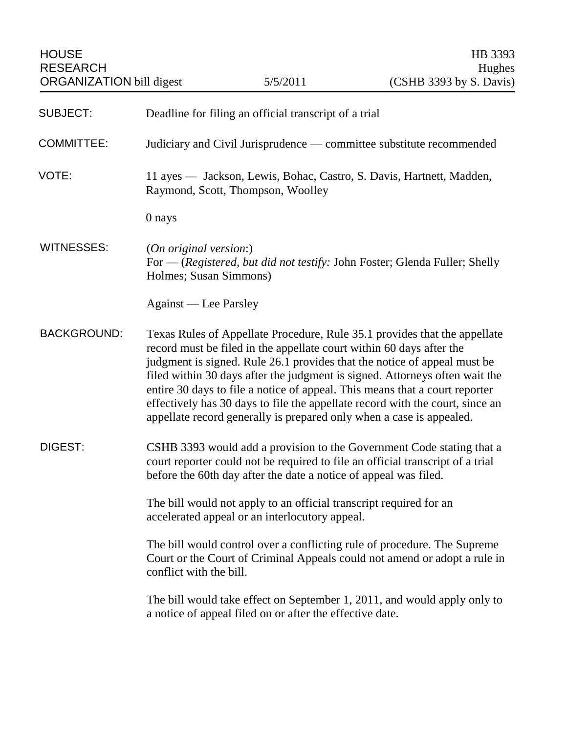| <b>SUBJECT:</b>    | Deadline for filing an official transcript of a trial                                                                                                                                                                                                                                                                                                                                                                                                                                                                                                |
|--------------------|------------------------------------------------------------------------------------------------------------------------------------------------------------------------------------------------------------------------------------------------------------------------------------------------------------------------------------------------------------------------------------------------------------------------------------------------------------------------------------------------------------------------------------------------------|
| <b>COMMITTEE:</b>  | Judiciary and Civil Jurisprudence — committee substitute recommended                                                                                                                                                                                                                                                                                                                                                                                                                                                                                 |
| VOTE:              | 11 ayes — Jackson, Lewis, Bohac, Castro, S. Davis, Hartnett, Madden,<br>Raymond, Scott, Thompson, Woolley                                                                                                                                                                                                                                                                                                                                                                                                                                            |
|                    | 0 nays                                                                                                                                                                                                                                                                                                                                                                                                                                                                                                                                               |
| <b>WITNESSES:</b>  | (On original version:)<br>For - (Registered, but did not testify: John Foster; Glenda Fuller; Shelly<br>Holmes; Susan Simmons)                                                                                                                                                                                                                                                                                                                                                                                                                       |
|                    | Against — Lee Parsley                                                                                                                                                                                                                                                                                                                                                                                                                                                                                                                                |
| <b>BACKGROUND:</b> | Texas Rules of Appellate Procedure, Rule 35.1 provides that the appellate<br>record must be filed in the appellate court within 60 days after the<br>judgment is signed. Rule 26.1 provides that the notice of appeal must be<br>filed within 30 days after the judgment is signed. Attorneys often wait the<br>entire 30 days to file a notice of appeal. This means that a court reporter<br>effectively has 30 days to file the appellate record with the court, since an<br>appellate record generally is prepared only when a case is appealed. |
| DIGEST:            | CSHB 3393 would add a provision to the Government Code stating that a<br>court reporter could not be required to file an official transcript of a trial<br>before the 60th day after the date a notice of appeal was filed.                                                                                                                                                                                                                                                                                                                          |
|                    | The bill would not apply to an official transcript required for an<br>accelerated appeal or an interlocutory appeal.                                                                                                                                                                                                                                                                                                                                                                                                                                 |
|                    | The bill would control over a conflicting rule of procedure. The Supreme<br>Court or the Court of Criminal Appeals could not amend or adopt a rule in<br>conflict with the bill.                                                                                                                                                                                                                                                                                                                                                                     |
|                    | The bill would take effect on September 1, 2011, and would apply only to<br>a notice of appeal filed on or after the effective date.                                                                                                                                                                                                                                                                                                                                                                                                                 |